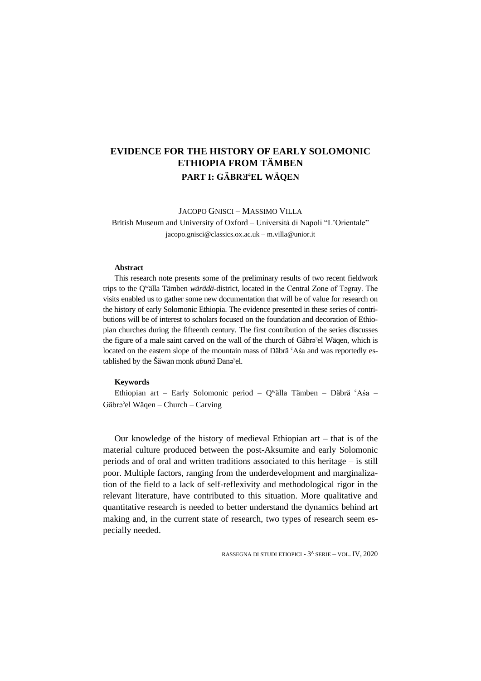# **EVIDENCE FOR THE HISTORY OF EARLY SOLOMONIC ETHIOPIA FROM TÄMBEN PART I: GÄBRƎ**ʾ**EL WÄQEN**

JACOPO GNISCI – MASSIMO VILLA

British Museum and University of Oxford – Università di Napoli "L'Orientale" jacopo.gnisci@classics.ox.ac.uk – m.villa@unior.it

#### **Abstract**

This research note presents some of the preliminary results of two recent fieldwork trips to the Q<sup>w</sup>älla Tämben *wärädä*-district, located in the Central Zone of Tǝgray. The visits enabled us to gather some new documentation that will be of value for research on the history of early Solomonic Ethiopia. The evidence presented in these series of contributions will be of interest to scholars focused on the foundation and decoration of Ethiopian churches during the fifteenth century. The first contribution of the series discusses the figure of a male saint carved on the wall of the church of Gäbrǝ'el Wäqen, which is located on the eastern slope of the mountain mass of Däbrä  $A$ śa and was reportedly established by the Šäwan monk *abunä* Danəʾel.

### **Keywords**

Ethiopian art – Early Solomonic period – Q<sup>w</sup>älla Tämben – Däbrä ʿAśa – Gäbrǝʾel Wäqen – Church – Carving

Our knowledge of the history of medieval Ethiopian art – that is of the material culture produced between the post-Aksumite and early Solomonic periods and of oral and written traditions associated to this heritage – is still poor. Multiple factors, ranging from the underdevelopment and marginalization of the field to a lack of self-reflexivity and methodological rigor in the relevant literature, have contributed to this situation. More qualitative and quantitative research is needed to better understand the dynamics behind art making and, in the current state of research, two types of research seem especially needed.

RASSEGNA DI STUDI ETIOPICI - 3<sup>A</sup> SERIE – VOL. IV, 2020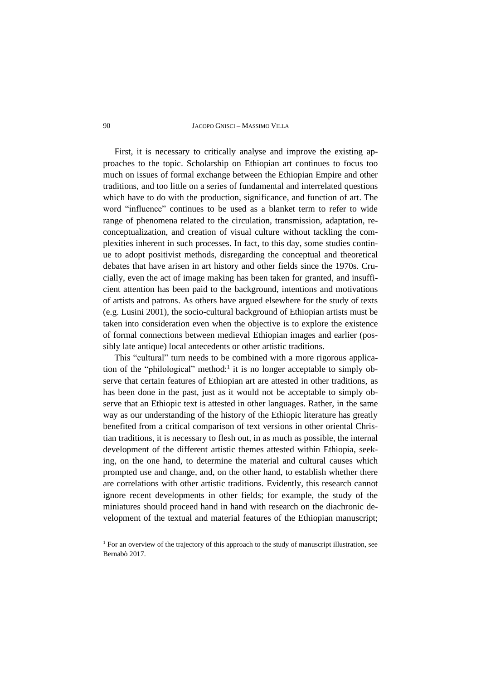#### 90 JACOPO GNISCI – MASSIMO VILLA

First, it is necessary to critically analyse and improve the existing approaches to the topic. Scholarship on Ethiopian art continues to focus too much on issues of formal exchange between the Ethiopian Empire and other traditions, and too little on a series of fundamental and interrelated questions which have to do with the production, significance, and function of art. The word "influence" continues to be used as a blanket term to refer to wide range of phenomena related to the circulation, transmission, adaptation, reconceptualization, and creation of visual culture without tackling the complexities inherent in such processes. In fact, to this day, some studies continue to adopt positivist methods, disregarding the conceptual and theoretical debates that have arisen in art history and other fields since the 1970s. Crucially, even the act of image making has been taken for granted, and insufficient attention has been paid to the background, intentions and motivations of artists and patrons. As others have argued elsewhere for the study of texts (e.g. Lusini 2001), the socio-cultural background of Ethiopian artists must be taken into consideration even when the objective is to explore the existence of formal connections between medieval Ethiopian images and earlier (possibly late antique) local antecedents or other artistic traditions.

This "cultural" turn needs to be combined with a more rigorous application of the "philological" method:<sup>1</sup> it is no longer acceptable to simply observe that certain features of Ethiopian art are attested in other traditions, as has been done in the past, just as it would not be acceptable to simply observe that an Ethiopic text is attested in other languages. Rather, in the same way as our understanding of the history of the Ethiopic literature has greatly benefited from a critical comparison of text versions in other oriental Christian traditions, it is necessary to flesh out, in as much as possible, the internal development of the different artistic themes attested within Ethiopia, seeking, on the one hand, to determine the material and cultural causes which prompted use and change, and, on the other hand, to establish whether there are correlations with other artistic traditions. Evidently, this research cannot ignore recent developments in other fields; for example, the study of the miniatures should proceed hand in hand with research on the diachronic development of the textual and material features of the Ethiopian manuscript;

<sup>&</sup>lt;sup>1</sup> For an overview of the trajectory of this approach to the study of manuscript illustration, see Bernabò 2017.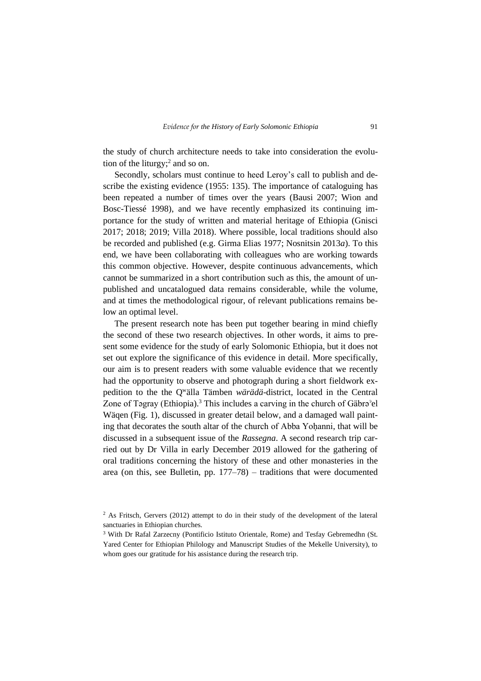the study of church architecture needs to take into consideration the evolution of the liturgy;<sup>2</sup> and so on.

Secondly, scholars must continue to heed Leroy's call to publish and describe the existing evidence (1955: 135). The importance of cataloguing has been repeated a number of times over the years (Bausi 2007; Wion and Bosc-Tiessé 1998), and we have recently emphasized its continuing importance for the study of written and material heritage of Ethiopia (Gnisci 2017; 2018; 2019; Villa 2018). Where possible, local traditions should also be recorded and published (e.g. Girma Elias 1977; Nosnitsin 2013*a*). To this end, we have been collaborating with colleagues who are working towards this common objective. However, despite continuous advancements, which cannot be summarized in a short contribution such as this, the amount of unpublished and uncatalogued data remains considerable, while the volume, and at times the methodological rigour, of relevant publications remains below an optimal level.

The present research note has been put together bearing in mind chiefly the second of these two research objectives. In other words, it aims to present some evidence for the study of early Solomonic Ethiopia, but it does not set out explore the significance of this evidence in detail. More specifically, our aim is to present readers with some valuable evidence that we recently had the opportunity to observe and photograph during a short fieldwork expedition to the the Q<sup>w</sup> älla Tämben *wärädä*-district, located in the Central Zone of Tagray (Ethiopia).<sup>3</sup> This includes a carving in the church of Gäbra<sup>3</sup>el Wäqen (Fig. 1), discussed in greater detail below, and a damaged wall painting that decorates the south altar of the church of Abba Yoḥanni, that will be discussed in a subsequent issue of the *Rassegna*. A second research trip carried out by Dr Villa in early December 2019 allowed for the gathering of oral traditions concerning the history of these and other monasteries in the area (on this, see Bulletin, pp. 177–78) – traditions that were documented

<sup>&</sup>lt;sup>2</sup> As Fritsch, Gervers (2012) attempt to do in their study of the development of the lateral sanctuaries in Ethiopian churches.

<sup>3</sup> With Dr Rafal Zarzecny (Pontificio Istituto Orientale, Rome) and Tesfay Gebremedhn (St. Yared Center for Ethiopian Philology and Manuscript Studies of the Mekelle University), to whom goes our gratitude for his assistance during the research trip.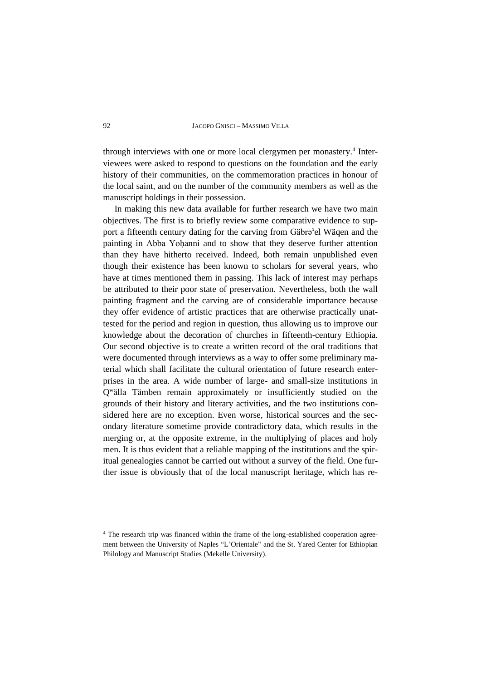#### 92 JACOPO GNISCI – MASSIMO VILLA

through interviews with one or more local clergymen per monastery.<sup>4</sup> Interviewees were asked to respond to questions on the foundation and the early history of their communities, on the commemoration practices in honour of the local saint, and on the number of the community members as well as the manuscript holdings in their possession.

In making this new data available for further research we have two main objectives. The first is to briefly review some comparative evidence to support a fifteenth century dating for the carving from Gäbrǝ<sup>3</sup>el Wäqen and the painting in Abba Yoḥanni and to show that they deserve further attention than they have hitherto received. Indeed, both remain unpublished even though their existence has been known to scholars for several years, who have at times mentioned them in passing. This lack of interest may perhaps be attributed to their poor state of preservation. Nevertheless, both the wall painting fragment and the carving are of considerable importance because they offer evidence of artistic practices that are otherwise practically unattested for the period and region in question, thus allowing us to improve our knowledge about the decoration of churches in fifteenth-century Ethiopia. Our second objective is to create a written record of the oral traditions that were documented through interviews as a way to offer some preliminary material which shall facilitate the cultural orientation of future research enterprises in the area. A wide number of large- and small-size institutions in Q<sup>w</sup> älla Tämben remain approximately or insufficiently studied on the grounds of their history and literary activities, and the two institutions considered here are no exception. Even worse, historical sources and the secondary literature sometime provide contradictory data, which results in the merging or, at the opposite extreme, in the multiplying of places and holy men. It is thus evident that a reliable mapping of the institutions and the spiritual genealogies cannot be carried out without a survey of the field. One further issue is obviously that of the local manuscript heritage, which has re-

<sup>&</sup>lt;sup>4</sup> The research trip was financed within the frame of the long-established cooperation agreement between the University of Naples "L'Orientale" and the St. Yared Center for Ethiopian Philology and Manuscript Studies (Mekelle University).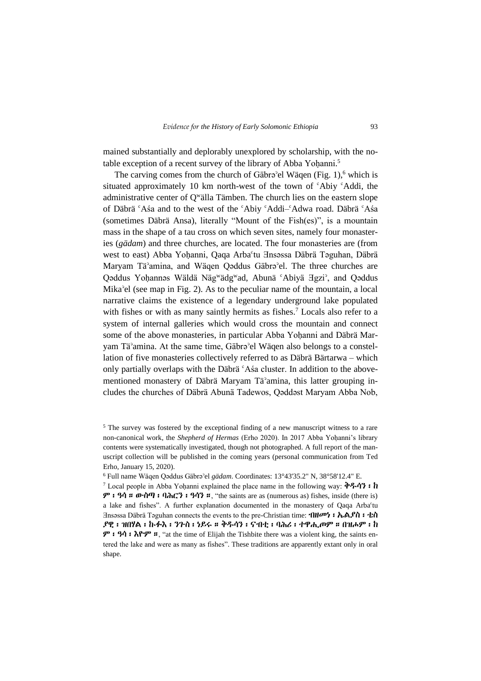mained substantially and deplorably unexplored by scholarship, with the notable exception of a recent survey of the library of Abba Yoḥanni.<sup>5</sup>

The carving comes from the church of Gäbrǝ'el Wäqen (Fig. 1),<sup>6</sup> which is situated approximately 10 km north-west of the town of <sup>c</sup>Abiy <sup>c</sup>Addi, the administrative center of Q<sup>w</sup>älla Tämben. The church lies on the eastern slope of Däbrä ʿAśa and to the west of the ʿAbiy ʿAddi–ʿAdwa road. Däbrä ʿAśa (sometimes Däbrä Ansa), literally "Mount of the Fish(es)", is a mountain mass in the shape of a tau cross on which seven sites, namely four monasteries (*gädam*) and three churches, are located. The four monasteries are (from west to east) Abba Yoḥanni, Qaqa Arba°tu ∃nsəssa Däbrä Təguhan, Däbrä Maryam Täʾamina, and Wäqen Qəddus Gäbrəʾel. The three churches are Qaddus Yoḥannas Wäldä Näg<sup>w</sup>ädg<sup>w</sup>ad, Abunä 'Abiyä Hgzi', and Qaddus Mikaʾel (see map in Fig. 2). As to the peculiar name of the mountain, a local narrative claims the existence of a legendary underground lake populated with fishes or with as many saintly hermits as fishes.<sup>7</sup> Locals also refer to a system of internal galleries which would cross the mountain and connect some of the above monasteries, in particular Abba Yoḥanni and Däbrä Maryam Tä<sup>3</sup>amina. At the same time, Gäbra<sup>3</sup>el Wäqen also belongs to a constellation of five monasteries collectively referred to as Däbrä Bärtarwa – which only partially overlaps with the Däbrä ʿAśa cluster. In addition to the abovementioned monastery of Däbrä Maryam Täʾamina, this latter grouping includes the churches of Däbrä Abunä Tadewos, Qəddəst Maryam Abba Nob,

<sup>&</sup>lt;sup>5</sup> The survey was fostered by the exceptional finding of a new manuscript witness to a rare non-canonical work, the *Shepherd of Hermas* (Erho 2020). In 2017 Abba Yoḥanni's library contents were systematically investigated, though not photographed. A full report of the manuscript collection will be published in the coming years (personal communication from Ted Erho, January 15, 2020).

<sup>6</sup> Full name Wäqen Qəddus Gäbrəʾel *gädam*. Coordinates: 13°43'35.2" N, 38°58'12.4" E.

<sup>&</sup>lt;sup>7</sup> Local people in Abba Yohanni explained the place name in the following way:  $\mathbf{\hat{P}}$ .  $\mathcal{P}$  ፡ ዓሳ። ውስጣ ፡ ባሕርን ፡ ዓሳን።, "the saints are as (numerous as) fishes, inside (there is) a lake and fishes". A further explanation documented in the monastery of Qaqa Arbaʿtu Ǝnsǝssa Däbrä Təguhan connects the events to the pre-Christian time: ብዘመነ፡ ኤልያስ፡ ቴስ ያዊ፡ ዝበሃል፡ ኩፉእ፡ ንጉስ፡ ነይሩ። ቅዱሳን፡ ናብቲ፡ ባሕሪ፡ ተዋሒጦም። በዝሖም፡ ከ ም፡ ዓሳ፡ እዮም።, "at the time of Elijah the Tishbite there was a violent king, the saints entered the lake and were as many as fishes". These traditions are apparently extant only in oral shape.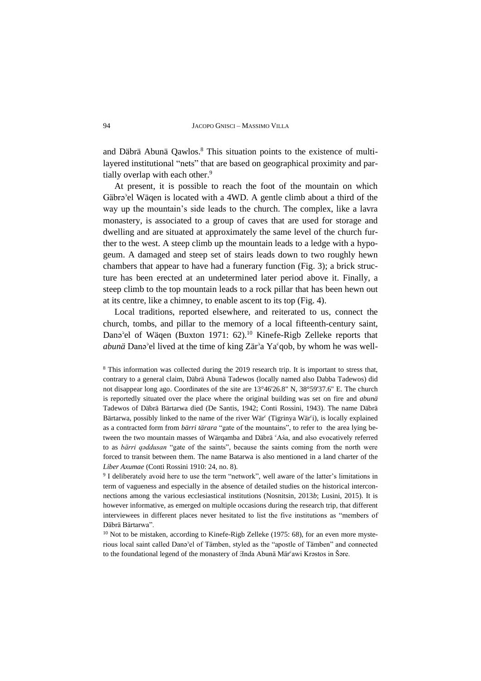and Däbrä Abunä Qawlos.<sup>8</sup> This situation points to the existence of multilayered institutional "nets" that are based on geographical proximity and partially overlap with each other.<sup>9</sup>

At present, it is possible to reach the foot of the mountain on which Gäbrə<sup>3</sup>el Wäqen is located with a 4WD. A gentle climb about a third of the way up the mountain's side leads to the church. The complex, like a lavra monastery, is associated to a group of caves that are used for storage and dwelling and are situated at approximately the same level of the church further to the west. A steep climb up the mountain leads to a ledge with a hypogeum. A damaged and steep set of stairs leads down to two roughly hewn chambers that appear to have had a funerary function (Fig. 3); a brick structure has been erected at an undetermined later period above it. Finally, a steep climb to the top mountain leads to a rock pillar that has been hewn out at its centre, like a chimney, to enable ascent to its top (Fig. 4).

Local traditions, reported elsewhere, and reiterated to us, connect the church, tombs, and pillar to the memory of a local fifteenth-century saint, Dana<sup>3</sup>el of Wäqen (Buxton 1971: 62).<sup>10</sup> Kinefe-Rigb Zelleke reports that *abunä* Danəʾel lived at the time of king Zärʾa Yaʿqob, by whom he was well-

<sup>8</sup> This information was collected during the 2019 research trip. It is important to stress that, contrary to a general claim, Däbrä Abunä Tadewos (locally named also Dabba Tadewos) did not disappear long ago. Coordinates of the site are 13°46'26.8" N, 38°59'37.6" E. The church is reportedly situated over the place where the original building was set on fire and *abunä* Tadewos of Däbrä Bärtarwa died (De Santis, 1942; Conti Rossini, 1943). The name Däbrä Bärtarwa, possibly linked to the name of the river Wär $\text{``}$  (Tigrinya Wär $\text{``}$ ), is locally explained as a contracted form from *bärri tärara* "gate of the mountains", to refer to the area lying between the two mountain masses of Wärqamba and Däbrä ʿAśa, and also evocatively referred to as *bärri qəddusan* "gate of the saints", because the saints coming from the north were forced to transit between them. The name Batarwa is also mentioned in a land charter of the *Liber Axumae* (Conti Rossini 1910: 24, no. 8).

9 I deliberately avoid here to use the term "network", well aware of the latter's limitations in term of vagueness and especially in the absence of detailed studies on the historical interconnections among the various ecclesiastical institutions (Nosnitsin, 2013*b*; Lusini, 2015). It is however informative, as emerged on multiple occasions during the research trip, that different interviewees in different places never hesitated to list the five institutions as "members of Däbrä Bärtarwa".

<sup>10</sup> Not to be mistaken, according to Kinefe-Rigb Zelleke (1975: 68), for an even more mysterious local saint called Danǝʾel of Tämben, styled as the "apostle of Tämben" and connected to the foundational legend of the monastery of  $\overline{A}$ nda Abunä Mär<sup>c</sup>awi Krəstos in Šəre.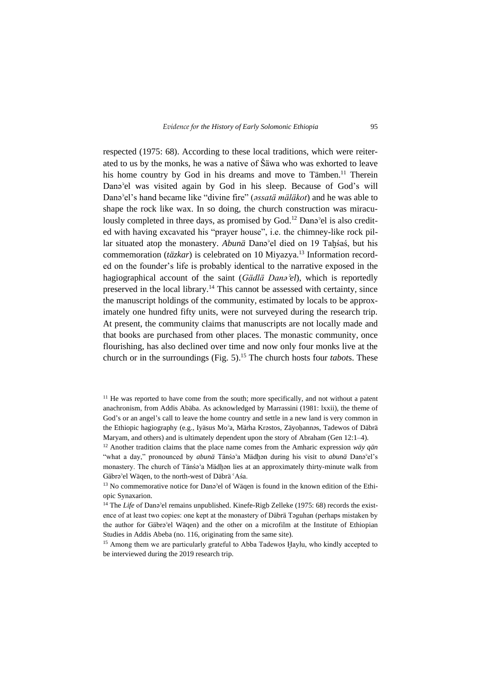respected (1975: 68). According to these local traditions, which were reiterated to us by the monks, he was a native of Šäwa who was exhorted to leave his home country by God in his dreams and move to Tämben.<sup>11</sup> Therein Danəʾel was visited again by God in his sleep. Because of God's will Danəʾel's hand became like "divine fire" (*ǝssatä mäläkot*) and he was able to shape the rock like wax. In so doing, the church construction was miraculously completed in three days, as promised by God.<sup>12</sup> Dana<sup>3</sup>el is also credited with having excavated his "prayer house", i.e. the chimney-like rock pillar situated atop the monastery. *Abunä* Danəʾel died on 19 Taḫśaś, but his commemoration (*täzkar*) is celebrated on 10 Miyazya.<sup>13</sup> Information recorded on the founder's life is probably identical to the narrative exposed in the hagiographical account of the saint (*Gädlä Danǝʾel*), which is reportedly preserved in the local library.<sup>14</sup> This cannot be assessed with certainty, since the manuscript holdings of the community, estimated by locals to be approximately one hundred fifty units, were not surveyed during the research trip. At present, the community claims that manuscripts are not locally made and that books are purchased from other places. The monastic community, once flourishing, has also declined over time and now only four monks live at the church or in the surroundings (Fig. 5). <sup>15</sup> The church hosts four *tabot*s. These

<sup>15</sup> Among them we are particularly grateful to Abba Tadewos Haylu, who kindly accepted to be interviewed during the 2019 research trip.

<sup>&</sup>lt;sup>11</sup> He was reported to have come from the south; more specifically, and not without a patent anachronism, from Addis Abäba. As acknowledged by Marrassini (1981: lxxii), the theme of God's or an angel's call to leave the home country and settle in a new land is very common in the Ethiopic hagiography (e.g., Iyäsus Mo<sup>3</sup>a, Märha Krǝstos, Zäyohannǝs, Tadewos of Däbrä Maryam, and others) and is ultimately dependent upon the story of Abraham (Gen 12:1–4).

<sup>12</sup> Another tradition claims that the place name comes from the Amharic expression *wäy qän* "what a day," pronounced by *abunä* Tänśəʾa Mädḫən during his visit to *abunä* Danəʾel's monastery. The church of Tänśə<sup>°</sup>a Mädhən lies at an approximately thirty-minute walk from Gäbrəʾel Wäqen, to the north-west of Däbrä ʿAśa.

<sup>&</sup>lt;sup>13</sup> No commemorative notice for Dana<sup>3</sup>el of Wäqen is found in the known edition of the Ethiopic Synaxarion.

<sup>&</sup>lt;sup>14</sup> The *Life* of Dana<sup>s</sup>el remains unpublished. Kinefe-Rigb Zelleke (1975: 68) records the existence of at least two copies: one kept at the monastery of Däbrä Təguhan (perhaps mistaken by the author for Gäbra'el Wäqen) and the other on a microfilm at the Institute of Ethiopian Studies in Addis Abeba (no. 116, originating from the same site).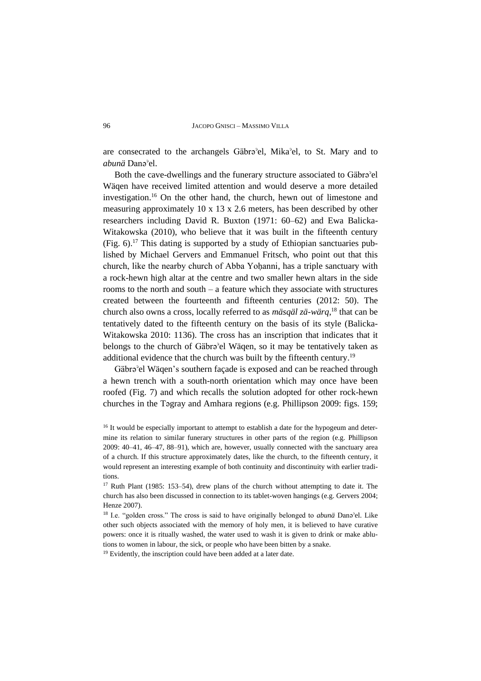are consecrated to the archangels Gäbrəʾel, Mikaʾel, to St. Mary and to *abunä* Danəʾel.

Both the cave-dwellings and the funerary structure associated to Gäbrǝ<sup>3</sup>el Wäqen have received limited attention and would deserve a more detailed investigation.<sup>16</sup> On the other hand, the church, hewn out of limestone and measuring approximately 10 x 13 x 2.6 meters, has been described by other researchers including David R. Buxton (1971: 60–62) and Ewa Balicka-Witakowska (2010), who believe that it was built in the fifteenth century (Fig. 6). <sup>17</sup> This dating is supported by a study of Ethiopian sanctuaries published by Michael Gervers and Emmanuel Fritsch, who point out that this church, like the nearby church of Abba Yoḥanni, has a triple sanctuary with a rock-hewn high altar at the centre and two smaller hewn altars in the side rooms to the north and south – a feature which they associate with structures created between the fourteenth and fifteenth centuries (2012: 50). The church also owns a cross, locally referred to as *mäsqäl zä-wärq*, <sup>18</sup> that can be tentatively dated to the fifteenth century on the basis of its style (Balicka-Witakowska 2010: 1136). The cross has an inscription that indicates that it belongs to the church of Gäbrǝ<sup>3</sup>el Wäqen, so it may be tentatively taken as additional evidence that the church was built by the fifteenth century.<sup>19</sup>

Gäbrə<sup>3</sup> el Wägen's southern façade is exposed and can be reached through a hewn trench with a south-north orientation which may once have been roofed (Fig. 7) and which recalls the solution adopted for other rock-hewn churches in the Tǝgray and Amhara regions (e.g. Phillipson 2009: figs. 159;

<sup>19</sup> Evidently, the inscription could have been added at a later date.

<sup>&</sup>lt;sup>16</sup> It would be especially important to attempt to establish a date for the hypogeum and determine its relation to similar funerary structures in other parts of the region (e.g. Phillipson 2009: 40–41, 46–47, 88–91), which are, however, usually connected with the sanctuary area of a church. If this structure approximately dates, like the church, to the fifteenth century, it would represent an interesting example of both continuity and discontinuity with earlier traditions.

<sup>&</sup>lt;sup>17</sup> Ruth Plant (1985: 153–54), drew plans of the church without attempting to date it. The church has also been discussed in connection to its tablet-woven hangings (e.g. Gervers 2004; Henze 2007).

<sup>18</sup> I.e. "golden cross." The cross is said to have originally belonged to *abunä* Danəʾel. Like other such objects associated with the memory of holy men, it is believed to have curative powers: once it is ritually washed, the water used to wash it is given to drink or make ablutions to women in labour, the sick, or people who have been bitten by a snake.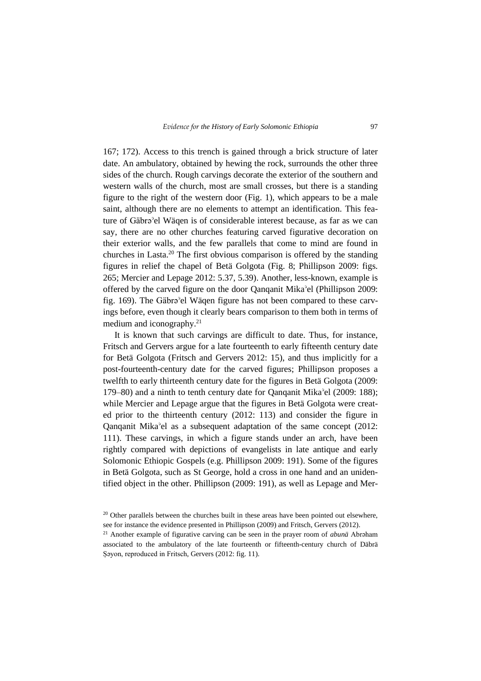167; 172). Access to this trench is gained through a brick structure of later date. An ambulatory, obtained by hewing the rock, surrounds the other three sides of the church. Rough carvings decorate the exterior of the southern and western walls of the church, most are small crosses, but there is a standing figure to the right of the western door (Fig. 1), which appears to be a male saint, although there are no elements to attempt an identification. This feature of Gäbrə<sup>3</sup>el Wäqen is of considerable interest because, as far as we can say, there are no other churches featuring carved figurative decoration on their exterior walls, and the few parallels that come to mind are found in churches in Lasta. <sup>20</sup> The first obvious comparison is offered by the standing figures in relief the chapel of Betä Golgota (Fig. 8; Phillipson 2009: figs. 265; Mercier and Lepage 2012: 5.37, 5.39). Another, less-known, example is offered by the carved figure on the door Qanqanit Mikaʾel (Phillipson 2009: fig. 169). The Gäbrə<sup>3</sup>el Wäqen figure has not been compared to these carvings before, even though it clearly bears comparison to them both in terms of medium and iconography.<sup>21</sup>

It is known that such carvings are difficult to date. Thus, for instance, Fritsch and Gervers argue for a late fourteenth to early fifteenth century date for Betä Golgota (Fritsch and Gervers 2012: 15), and thus implicitly for a post-fourteenth-century date for the carved figures; Phillipson proposes a twelfth to early thirteenth century date for the figures in Betä Golgota (2009: 179–80) and a ninth to tenth century date for Qanqanit Mikaʾel (2009: 188); while Mercier and Lepage argue that the figures in Betä Golgota were created prior to the thirteenth century (2012: 113) and consider the figure in Qanqanit Mikaʾel as a subsequent adaptation of the same concept (2012: 111). These carvings, in which a figure stands under an arch, have been rightly compared with depictions of evangelists in late antique and early Solomonic Ethiopic Gospels (e.g. Phillipson 2009: 191). Some of the figures in Betä Golgota, such as St George, hold a cross in one hand and an unidentified object in the other. Phillipson (2009: 191), as well as Lepage and Mer-

<sup>&</sup>lt;sup>20</sup> Other parallels between the churches built in these areas have been pointed out elsewhere, see for instance the evidence presented in Phillipson (2009) and Fritsch, Gervers (2012).

<sup>&</sup>lt;sup>21</sup> Another example of figurative carving can be seen in the prayer room of *abunä* Abraham associated to the ambulatory of the late fourteenth or fifteenth-century church of Däbrä Sayon, reproduced in Fritsch, Gervers (2012: fig. 11).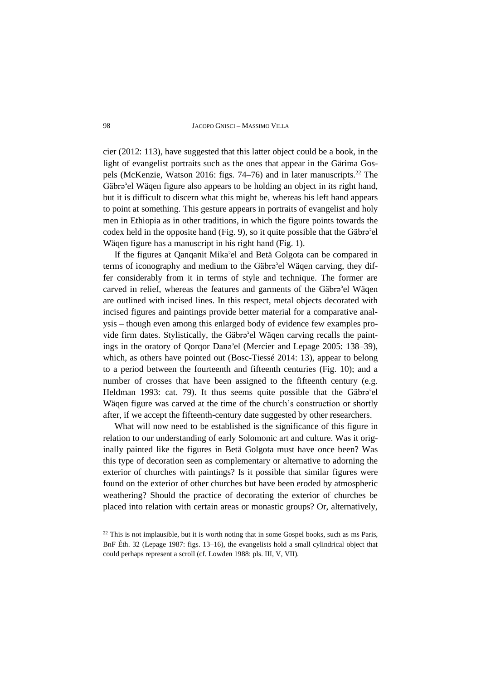#### 98 JACOPO GNISCI – MASSIMO VILLA

cier (2012: 113), have suggested that this latter object could be a book, in the light of evangelist portraits such as the ones that appear in the Gärima Gospels (McKenzie, Watson 2016: figs. 74–76) and in later manuscripts.<sup>22</sup> The Gäbrə<sup>3</sup> el Wäqen figure also appears to be holding an object in its right hand, but it is difficult to discern what this might be, whereas his left hand appears to point at something. This gesture appears in portraits of evangelist and holy men in Ethiopia as in other traditions, in which the figure points towards the codex held in the opposite hand (Fig. 9), so it quite possible that the Gäbra<sup>3</sup>el Wäqen figure has a manuscript in his right hand (Fig. 1).

If the figures at Qanqanit Mikaʾel and Betä Golgota can be compared in terms of iconography and medium to the Gäbra<sup>3</sup>el Wäqen carving, they differ considerably from it in terms of style and technique. The former are carved in relief, whereas the features and garments of the Gäbra<sup>3</sup>el Wäqen are outlined with incised lines. In this respect, metal objects decorated with incised figures and paintings provide better material for a comparative analysis – though even among this enlarged body of evidence few examples provide firm dates. Stylistically, the Gäbrǝ<sup>3</sup>el Wäqen carving recalls the paintings in the oratory of Qorqor Danǝʾel (Mercier and Lepage 2005: 138–39), which, as others have pointed out (Bosc-Tiessé 2014: 13), appear to belong to a period between the fourteenth and fifteenth centuries (Fig. 10); and a number of crosses that have been assigned to the fifteenth century (e.g. Heldman 1993: cat. 79). It thus seems quite possible that the Gäbra<sup>3</sup>el Wäqen figure was carved at the time of the church's construction or shortly after, if we accept the fifteenth-century date suggested by other researchers.

What will now need to be established is the significance of this figure in relation to our understanding of early Solomonic art and culture. Was it originally painted like the figures in Betä Golgota must have once been? Was this type of decoration seen as complementary or alternative to adorning the exterior of churches with paintings? Is it possible that similar figures were found on the exterior of other churches but have been eroded by atmospheric weathering? Should the practice of decorating the exterior of churches be placed into relation with certain areas or monastic groups? Or, alternatively,

<sup>&</sup>lt;sup>22</sup> This is not implausible, but it is worth noting that in some Gospel books, such as ms Paris, BnF Éth. 32 (Lepage 1987: figs. 13–16), the evangelists hold a small cylindrical object that could perhaps represent a scroll (cf. Lowden 1988: pls. III, V, VII).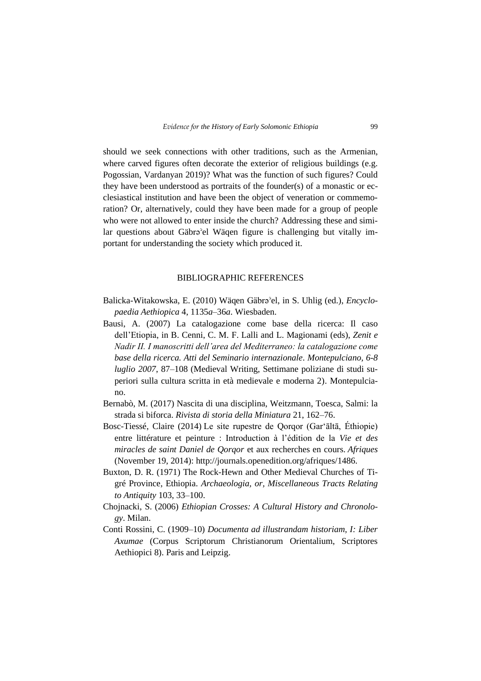should we seek connections with other traditions, such as the Armenian, where carved figures often decorate the exterior of religious buildings (e.g. Pogossian, Vardanyan 2019)? What was the function of such figures? Could they have been understood as portraits of the founder(s) of a monastic or ecclesiastical institution and have been the object of veneration or commemoration? Or, alternatively, could they have been made for a group of people who were not allowed to enter inside the church? Addressing these and similar questions about Gäbrǝ<sup>3</sup>el Wäqen figure is challenging but vitally important for understanding the society which produced it.

## BIBLIOGRAPHIC REFERENCES

- Balicka-Witakowska, E. (2010) Wäqen Gäbra<sup>3</sup>el, in S. Uhlig (ed.), *Encyclopaedia Aethiopica* 4, 1135*a*–36*a*. Wiesbaden.
- Bausi, A. (2007) La catalogazione come base della ricerca: Il caso dell'Etiopia, in B. Cenni, C. M. F. Lalli and L. Magionami (eds), *Zenit e Nadir II. I manoscritti dell'area del Mediterraneo: la catalogazione come base della ricerca. Atti del Seminario internazionale. Montepulciano, 6-8 luglio 2007*, 87–108 (Medieval Writing, Settimane poliziane di studi superiori sulla cultura scritta in età medievale e moderna 2). Montepulciano.
- Bernabò, M. (2017) Nascita di una disciplina, Weitzmann, Toesca, Salmi: la strada si biforca. *Rivista di storia della Miniatura* 21, 162–76.
- Bosc-Tiessé, Claire (2014) Le site rupestre de Qorqor (Gar'āltā, Éthiopie) entre littérature et peinture : Introduction à l'édition de la *Vie et des miracles de saint Daniel de Qorqor* et aux recherches en cours. *Afriques* (November 19, 2014): http://journals.openedition.org/afriques/1486.
- Buxton, D. R. (1971) The Rock-Hewn and Other Medieval Churches of Tigré Province, Ethiopia. *Archaeologia, or, Miscellaneous Tracts Relating to Antiquity* 103, 33–100.
- Chojnacki, S. (2006) *Ethiopian Crosses: A Cultural History and Chronology*. Milan.
- Conti Rossini, C. (1909–10) *Documenta ad illustrandam historiam, I: Liber Axumae* (Corpus Scriptorum Christianorum Orientalium, Scriptores Aethiopici 8). Paris and Leipzig.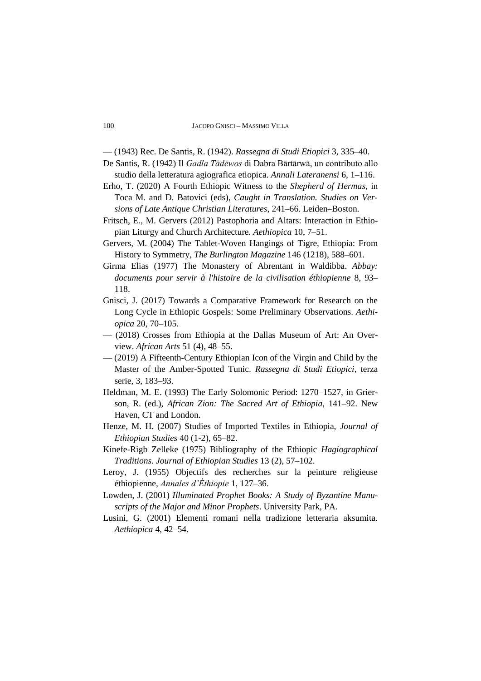— (1943) Rec. De Santis, R. (1942). *Rassegna di Studi Etiopici* 3, 335–40.

- De Santis, R. (1942) Il *Gadla Tādēwos* di Dabra Bārtārwā, un contributo allo studio della letteratura agiografica etiopica. *Annali Lateranensi* 6, 1–116.
- Erho, T. (2020) A Fourth Ethiopic Witness to the *Shepherd of Hermas*, in Toca M. and D. Batovici (eds), *Caught in Translation. Studies on Versions of Late Antique Christian Literatures*, 241–66. Leiden–Boston.
- Fritsch, E., M. Gervers (2012) Pastophoria and Altars: Interaction in Ethiopian Liturgy and Church Architecture. *Aethiopica* 10, 7–51.
- Gervers, M. (2004) The Tablet-Woven Hangings of Tigre, Ethiopia: From History to Symmetry, *The Burlington Magazine* 146 (1218), 588–601.
- Girma Elias (1977) The Monastery of Abrentant in Waldibba. *Abbay: documents pour servir à l'histoire de la civilisation éthiopienne* 8, 93– 118.
- Gnisci, J. (2017) Towards a Comparative Framework for Research on the Long Cycle in Ethiopic Gospels: Some Preliminary Observations. *Aethiopica* 20, 70–105.
- (2018) Crosses from Ethiopia at the Dallas Museum of Art: An Overview. *African Arts* 51 (4), 48–55.
- (2019) A Fifteenth-Century Ethiopian Icon of the Virgin and Child by the Master of the Amber-Spotted Tunic. *Rassegna di Studi Etiopici*, terza serie, 3, 183–93.
- Heldman, M. E. (1993) The Early Solomonic Period: 1270–1527, in Grierson, R. (ed.), *African Zion: The Sacred Art of Ethiopia*, 141–92. New Haven, CT and London.
- Henze, M. H. (2007) Studies of Imported Textiles in Ethiopia, *Journal of Ethiopian Studies* 40 (1-2), 65–82.
- Kinefe-Rigb Zelleke (1975) Bibliography of the Ethiopic *Hagiographical Traditions. Journal of Ethiopian Studies* 13 (2), 57–102.
- Leroy, J. (1955) Objectifs des recherches sur la peinture religieuse éthiopienne, *Annales d'Éthiopie* 1, 127–36.
- Lowden, J. (2001) *Illuminated Prophet Books: A Study of Byzantine Manuscripts of the Major and Minor Prophets*. University Park, PA.
- Lusini, G. (2001) Elementi romani nella tradizione letteraria aksumita. *Aethiopica* 4, 42–54.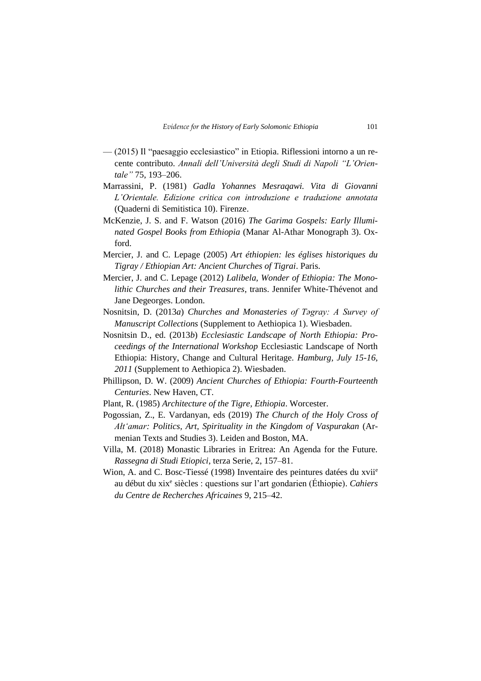- (2015) Il "paesaggio ecclesiastico" in Etiopia. Riflessioni intorno a un recente contributo. *Annali dell'Università degli Studi di Napoli "L'Orientale"* 75, 193–206.
- Marrassini, P. (1981) *Gadla Yohannes Mesraqawi. Vita di Giovanni L'Orientale. Edizione critica con introduzione e traduzione annotata* (Quaderni di Semitistica 10). Firenze.
- McKenzie, J. S. and F. Watson (2016) *The Garima Gospels: Early Illuminated Gospel Books from Ethiopia* (Manar Al-Athar Monograph 3). Oxford.
- Mercier, J. and C. Lepage (2005) *Art éthiopien: les églises historiques du Tigray / Ethiopian Art: Ancient Churches of Tigrai*. Paris.
- Mercier, J. and C. Lepage (2012) *Lalibela, Wonder of Ethiopia: The Monolithic Churches and their Treasures*, trans. Jennifer White-Thévenot and Jane Degeorges. London.
- Nosnitsin, D. (2013*a*) *Churches and Monasteries of Tǝgray: A Survey of Manuscript Collections* (Supplement to Aethiopica 1). Wiesbaden.
- Nosnitsin D., ed. (2013*b*) *Ecclesiastic Landscape of North Ethiopia: Proceedings of the International Workshop* Ecclesiastic Landscape of North Ethiopia: History, Change and Cultural Heritage*. Hamburg, July 15-16, 2011* (Supplement to Aethiopica 2). Wiesbaden.
- Phillipson, D. W. (2009) *Ancient Churches of Ethiopia: Fourth-Fourteenth Centuries*. New Haven, CT.
- Plant, R. (1985) *Architecture of the Tigre, Ethiopia*. Worcester.
- Pogossian, Z., E. Vardanyan, eds (2019) *The Church of the Holy Cross of Ałt'amar: Politics, Art, Spirituality in the Kingdom of Vaspurakan* (Armenian Texts and Studies 3). Leiden and Boston, MA.
- Villa, M. (2018) Monastic Libraries in Eritrea: An Agenda for the Future. *Rassegna di Studi Etiopici*, terza Serie, 2, 157–81.
- Wion, A. and C. Bosc-Tiessé (1998) Inventaire des peintures datées du xvii<sup>e</sup> au début du xix<sup>e</sup> siècles : questions sur l'art gondarien (Éthiopie). *Cahiers du Centre de Recherches Africaines* 9, 215–42.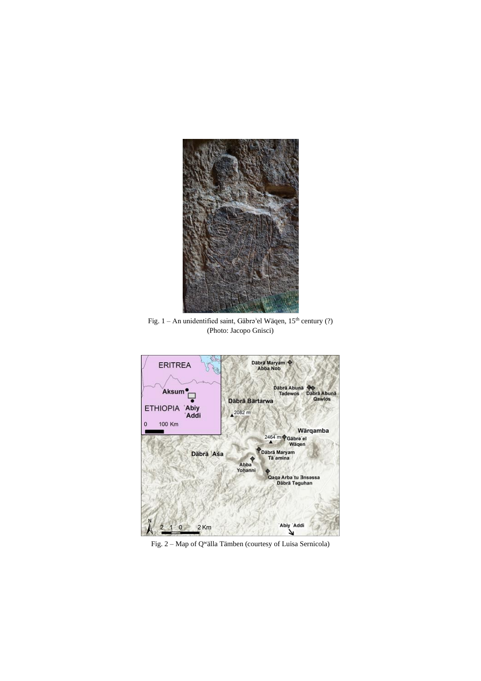

Fig. 1 – An unidentified saint, Gäbrə'el Wäqen, 15<sup>th</sup> century (?) (Photo: Jacopo Gnisci)



Fig. 2 – Map of Q<sup>w</sup>älla Tämben (courtesy of Luisa Sernicola)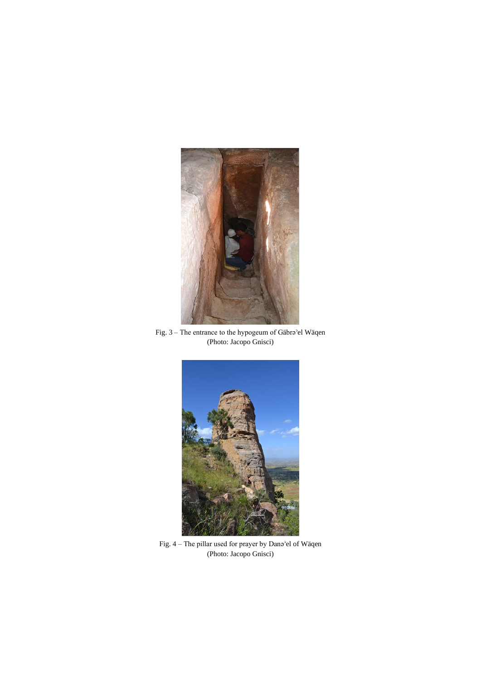

Fig. 3 – The entrance to the hypogeum of Gäbrǝ<sup>3</sup>el Wäqen (Photo: Jacopo Gnisci)



Fig. 4 – The pillar used for prayer by Dana'el of Wäqen (Photo: Jacopo Gnisci)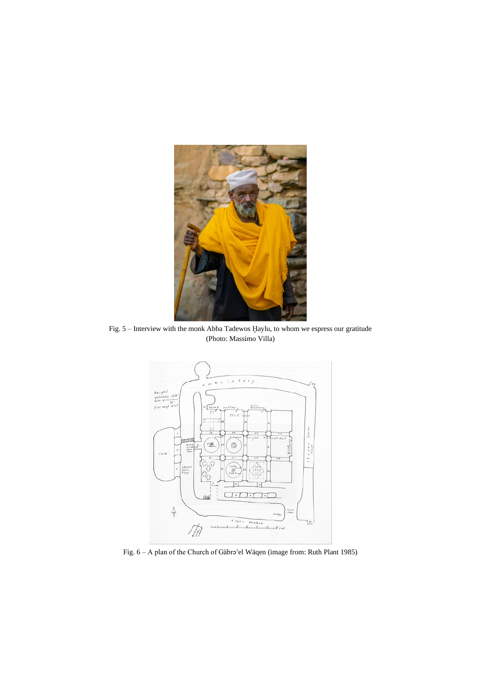

Fig. 5 – Interview with the monk Abba Tadewos Ḫaylu, to whom we espress our gratitude (Photo: Massimo Villa)



Fig. 6 – A plan of the Church of Gäbrǝ'el Wäqen (image from: Ruth Plant 1985)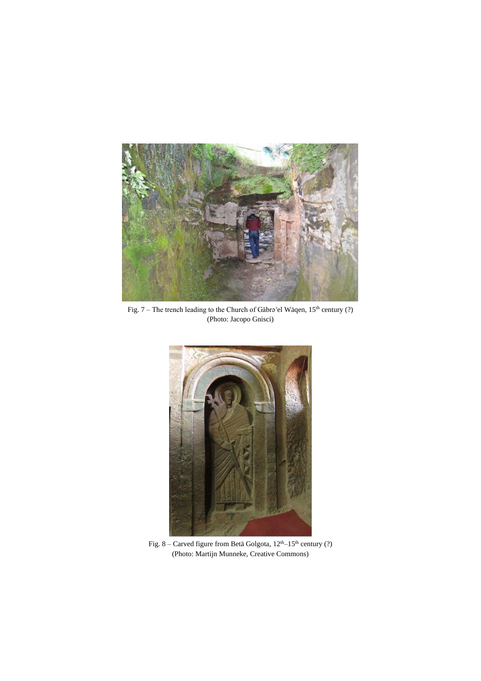

Fig. 7 – The trench leading to the Church of Gäbrǝ'el Wäqen,  $15<sup>th</sup>$  century (?) (Photo: Jacopo Gnisci)



Fig. 8 – Carved figure from Betä Golgota,  $12<sup>th</sup>$ –15<sup>th</sup> century (?) (Photo: Martijn Munneke, Creative Commons)